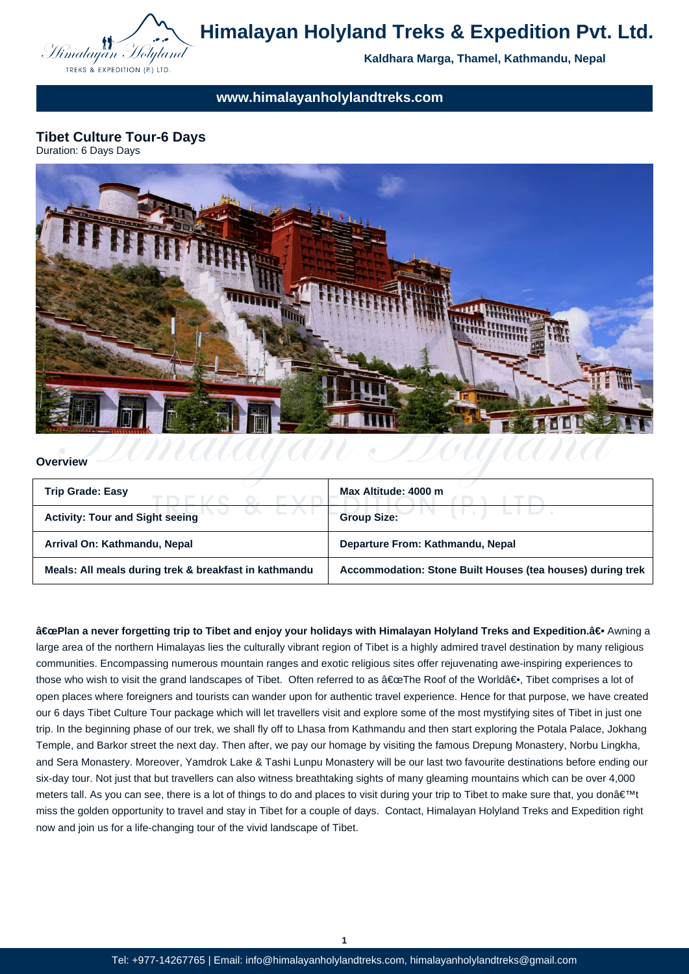

# **Himalayan Holyland Treks & Expedition Pvt. Ltd.**

**Kaldhara Marga, Thamel, Kathmandu, Nepal**

**www.himalayanholylandtreks.com**

**Tibet Culture Tour-6 Days**



#### **Overview**

| <b>Trip Grade: Easy</b>                               | Max Altitude: 4000 m                                       |
|-------------------------------------------------------|------------------------------------------------------------|
| <b>Activity: Tour and Sight seeing</b>                | <b>Group Size:</b>                                         |
| Arrival On: Kathmandu, Nepal                          | Departure From: Kathmandu, Nepal                           |
| Meals: All meals during trek & breakfast in kathmandu | Accommodation: Stone Built Houses (tea houses) during trek |

"Plan a never forgetting trip to Tibet and enjoy your holidays with Himalayan Holyland Treks and Expedition.―Awning a large area of the northern Himalayas lies the culturally vibrant region of Tibet is a highly admired travel destination by many religious communities. Encompassing numerous mountain ranges and exotic religious sites offer rejuvenating awe-inspiring experiences to those who wish to visit the grand landscapes of Tibet. Often referred to as "The Roof of the World―. Tibet comprises a lot of open places where foreigners and tourists can wander upon for authentic travel experience. Hence for that purpose, we have created our 6 days Tibet Culture Tour package which will let travellers visit and explore some of the most mystifying sites of Tibet in just one trip. In the beginning phase of our trek, we shall fly off to Lhasa from Kathmandu and then start exploring the Potala Palace, Jokhang Temple, and Barkor street the next day. Then after, we pay our homage by visiting the famous Drepung Monastery, Norbu Lingkha, and Sera Monastery. Moreover, Yamdrok Lake & Tashi Lunpu Monastery will be our last two favourite destinations before ending our six-day tour. Not just that but travellers can also witness breathtaking sights of many gleaming mountains which can be over 4,000 meters tall. As you can see, there is a lot of things to do and places to visit during your trip to Tibet to make sure that, you don't miss the golden opportunity to travel and stay in Tibet for a couple of days. Contact, Himalayan Holyland Treks and Expedition right now and join us for a life-changing tour of the vivid landscape of Tibet.

**1**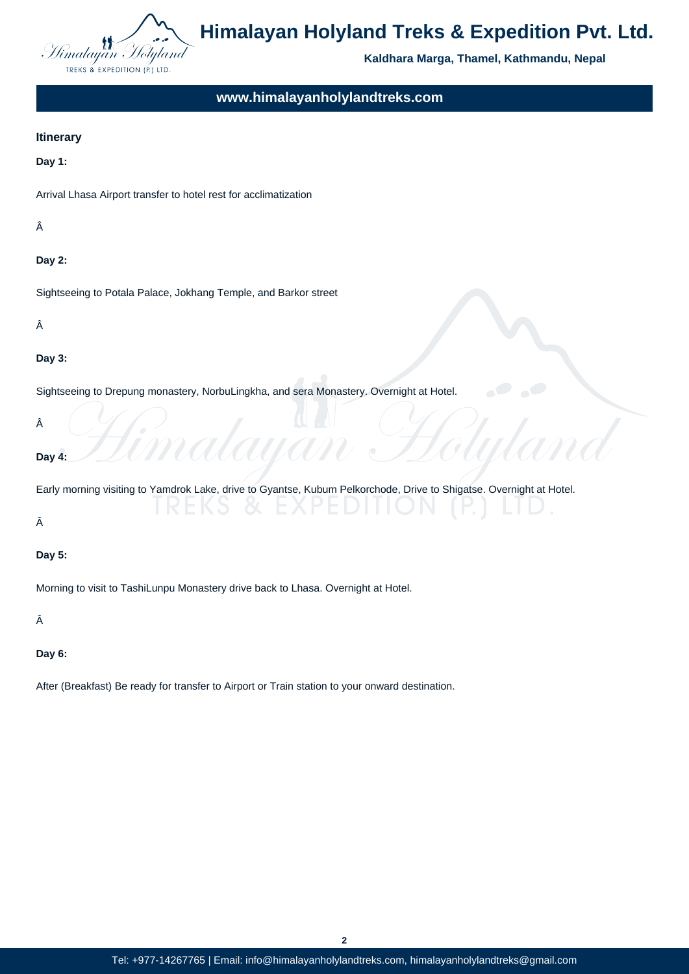

# **Himalayan Holyland Treks & Expedition Pvt. Ltd.**

**Kaldhara Marga, Thamel, Kathmandu, Nepal**

**www.himalayanholylandtreks.com**

#### **Itinerary**

**Day 1:**

Arrival Lhasa Airport transfer to hotel rest for acclimatization

Â

#### **Day 2:**

Sightseeing to Potala Palace, Jokhang Temple, and Barkor street

Â

#### **Day 3:**

Sightseeing to Drepung monastery, NorbuLingkha, and sera Monastery. Overnight at Hotel.

Â

#### **Day 4:**

Early morning visiting to Yamdrok Lake, drive to Gyantse, Kubum Pelkorchode, Drive to Shigatse. Overnight at Hotel.

Â

#### **Day 5:**

Morning to visit to TashiLunpu Monastery drive back to Lhasa. Overnight at Hotel.

Â

### **Day 6:**

After (Breakfast) Be ready for transfer to Airport or Train station to your onward destination.